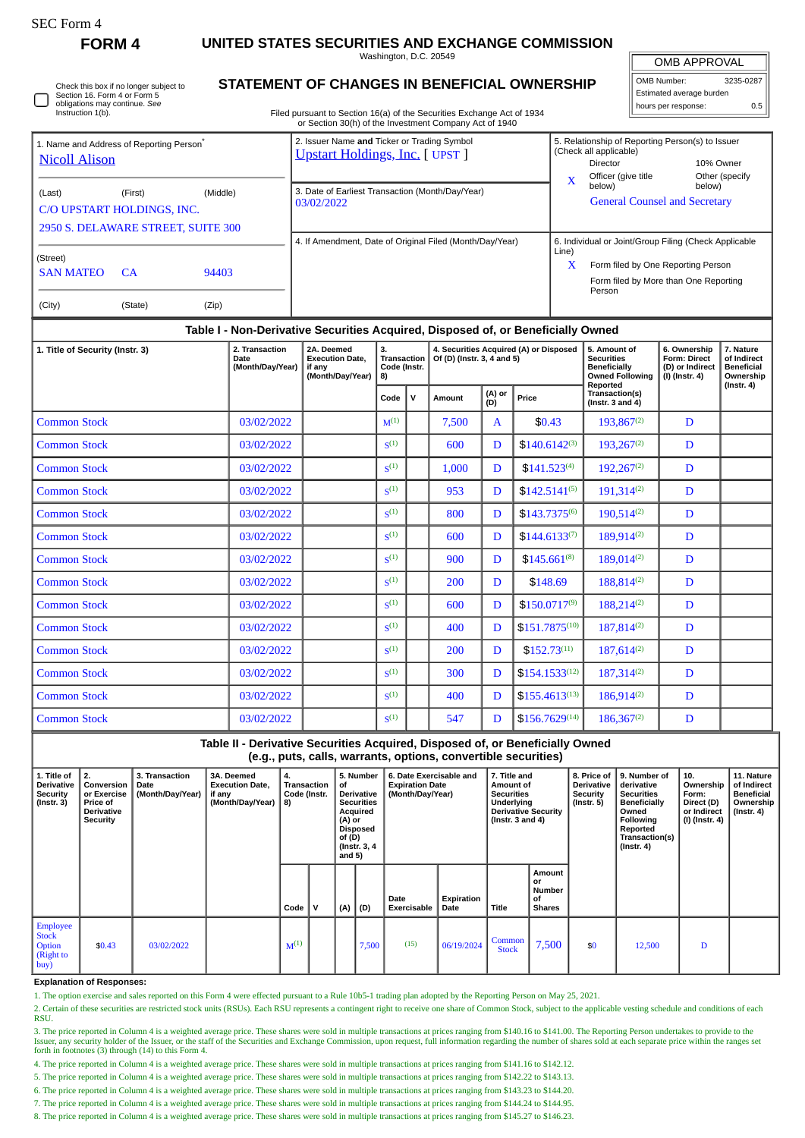**FORM 4 UNITED STATES SECURITIES AND EXCHANGE COMMISSION**

Washington, D.C. 20549

OMB APPROVAL

600 D  $\left| \right.$  \$140.6142<sup>(3)</sup> 193,267<sup>(2)</sup> D

1,000 D  $\bullet$  \$141.523<sup>(4)</sup> 192,267<sup>(2)</sup> D

953 D \$142.5141<sup>(5)</sup> 191,314<sup>(2)</sup> D

800 D  $\vert$  \$143.7375<sup>(6)</sup> 190,514<sup>(2)</sup> D

600 D  $\vert$  5144.6133<sup>(7)</sup> 189,914<sup>(2)</sup> D

900 D  $\left| \right|$  \$145.661<sup>(8)</sup> 189,014<sup>(2)</sup> D

200 D \$148.69 188.814<sup>(2)</sup> D

600 D  $\vert$  5150.0717<sup>(9)</sup> 188,214<sup>(2)</sup> D

400 D \$151,7875<sup>(10)</sup> 187,814<sup>(2)</sup> D

200 D  $\vert$  5152.73<sup>(11)</sup> 187,614<sup>(2)</sup> D

300 D  $\left| \right.$  5154.1533<sup>(12)</sup> 187,314<sup>(2)</sup> D

400 | D \$155.4613<sup>(13)</sup> 186,914<sup>(2)</sup> D

 $\begin{array}{|c|c|c|c|c|c|c|c|c|} \hline 547 & D & $5156.7629^{(14)} & 186.367^{(2)} & D \ \hline \end{array}$ 

**Amount or Number of Shares**

**8. Price of Derivative Security (Instr. 5)**

 $\begin{array}{|c|c|c|c|c|c|c|c|} \hline \text{ommon} & 7,500 & \text{ } & 12,500 & D \\ \hline \text{Stock} & 7,500 & \text{ } & 12,500 & D \end{array}$ 

**9. Number of derivative Securities Beneficially Owned Following Reported Transaction(s) (Instr. 4)**

**10. Ownership Form: Direct (D) or Indirect (I) (Instr. 4)** **11. Nature of Indirect Beneficial Ownership (Instr. 4)**

**7. Title and Amount of Securities Underlying Derivative Security (Instr. 3 and 4)**

| OMB Number:              | 3235-0287 |  |  |  |  |  |  |  |
|--------------------------|-----------|--|--|--|--|--|--|--|
| Estimated average burden |           |  |  |  |  |  |  |  |
| hours per response:      | 0.5       |  |  |  |  |  |  |  |

Check this box if no longer subject to Section 16. Form 4 or Form 5 obligations may continue. *See* Instruction 1(b)

 $Common Stock$  03/02/2022  $\vert$  s<sup>(1)</sup>

 $Common Stock$  03/02/2022  $\vert$  s<sup>(1)</sup>

**Common Stock**  $\begin{array}{|c|c|c|c|c|} \hline 03/02/2022 & & & \text{S}^{(1)} \\\hline \end{array}$ 

 $Common Stock$  03/02/2022 s(1)

 $Common Stock$  03/02/2022 s<sup>(1)</sup>

 $Common Stock$  03/02/2022  $\left| \begin{array}{c} 0.3/0.2 \end{array} \right|$   $S^{(1)}$ 

 $Common Stock$  03/02/2022  $\vert$  s<sup>(1)</sup>

 $Common Stock$   $03/02/2022$  s

 $Common Stock$  03/02/2022  $\left| \begin{array}{c} 0.3/0.2 \end{array} \right|$  s<sup>(1)</sup>

 $Common Stock$  03/02/2022  $\left| \begin{array}{c} 0.3/0.2 \end{array} \right|$   $S^{(1)}$ 

 $Common Stock$  03/02/2022  $\vert$   $\vert$   $\vert$   $\vert$   $\vert$   $\vert$  s<sup>(1)</sup>

 $Common Stock$  03/02/2022  $\vert$  s<sup>(1)</sup>

 $Common Stock$  03/02/2022  $\vert$  s<sup>(1)</sup>

**3A. Deemed Execution Date, if any (Month/Day/Year)**

## **STATEMENT OF CHANGES IN BENEFICIAL OWNERSHIP**

Filed pursuant to Section 16(a) of the Securities Exchange Act of 1934 or Section 30(h) of the Investment Company Act of 1940

| 2. Transaction<br>1. Title of Security (Instr. 3)<br>Date                        |                                                                |                                                          | (Month/Day/Year) | 2A. Deemed<br><b>Execution Date.</b><br>if anv<br>(Month/Day/Year)                    | 3.<br><b>Transaction</b><br>Code (Instr.<br>8)<br>. v<br>Code |                                                       | 4. Securities Acquired (A) or Disposed<br>Of (D) (Instr. 3, 4 and 5)<br>(A) or<br>(D)<br>Price<br>Amount |  |            |                                                                                                               | 5. Amount of<br><b>Securities</b><br><b>Beneficially</b><br><b>Owned Following</b><br>Reported<br>Transaction(s) | 6. Ownership<br><b>Form: Direct</b><br>(D) or Indirect<br>(I) (Instr. 4) | 7. Nature<br>of Indirect<br><b>Beneficial</b><br>Ownership<br>(Instr. 4) |
|----------------------------------------------------------------------------------|----------------------------------------------------------------|----------------------------------------------------------|------------------|---------------------------------------------------------------------------------------|---------------------------------------------------------------|-------------------------------------------------------|----------------------------------------------------------------------------------------------------------|--|------------|---------------------------------------------------------------------------------------------------------------|------------------------------------------------------------------------------------------------------------------|--------------------------------------------------------------------------|--------------------------------------------------------------------------|
| Table I - Non-Derivative Securities Acquired, Disposed of, or Beneficially Owned |                                                                |                                                          |                  |                                                                                       |                                                               |                                                       |                                                                                                          |  |            |                                                                                                               |                                                                                                                  |                                                                          |                                                                          |
| (City)                                                                           | (State)                                                        | (Zip)                                                    |                  |                                                                                       |                                                               |                                                       |                                                                                                          |  |            | Person                                                                                                        |                                                                                                                  |                                                                          |                                                                          |
| (Street)<br><b>SAN MATEO</b><br>94403<br><b>CA</b>                               |                                                                |                                                          |                  |                                                                                       |                                                               |                                                       |                                                                                                          |  | Line)<br>X | Form filed by One Reporting Person<br>Form filed by More than One Reporting                                   |                                                                                                                  |                                                                          |                                                                          |
| 2950 S. DELAWARE STREET, SUITE 300                                               |                                                                | 4. If Amendment, Date of Original Filed (Month/Day/Year) |                  |                                                                                       |                                                               | 6. Individual or Joint/Group Filing (Check Applicable |                                                                                                          |  |            |                                                                                                               |                                                                                                                  |                                                                          |                                                                          |
| (Last)<br>C/O UPSTART HOLDINGS, INC.                                             | 3. Date of Earliest Transaction (Month/Day/Year)<br>03/02/2022 |                                                          |                  |                                                                                       |                                                               | X                                                     | below)<br>below)<br><b>General Counsel and Secretary</b>                                                 |  |            |                                                                                                               |                                                                                                                  |                                                                          |                                                                          |
| 1. Name and Address of Reporting Person <sup>®</sup><br><b>Nicoll Alison</b>     |                                                                |                                                          |                  | 2. Issuer Name and Ticker or Trading Symbol<br><b>Upstart Holdings, Inc.</b> [ UPST ] |                                                               |                                                       |                                                                                                          |  |            | 5. Relationship of Reporting Person(s) to Issuer<br>(Check all applicable)<br>Director<br>Officer (give title | 10% Owner                                                                                                        | Other (specify                                                           |                                                                          |

Common Stock 03/02/2022 M(1) 7,500 A \$0.43 193,867(2) D

**1. Title of Derivative Security (Instr. 3)**

Employee **Stock Option** (Right to buy)

**2. Conversion or Exercise Price of Derivative Security**

**3. Transaction Date (Month/Day/Year)**

1. The option exercise and sales reported on this Form 4 were effected pursuant to a Rule 10b5-1 trading plan adopted by the Reporting Person on May 25, 2021.

\$0.43 03/02/2022  $\begin{vmatrix} 0 & 0 & 0 \\ 0 & 0 & 0 \end{vmatrix}$  06/19/2024  $\begin{vmatrix} 0 & 0 \\ 0 & 0 \end{vmatrix}$  06/19/2024  $\begin{vmatrix} 0 & 0 \\ 0 & 0 \end{vmatrix}$ 

**Code V (A) (D)**

**4. Transaction Code (Instr. 8)**

**5. Number of Derivative Securities Acquired (A) or Disposed of (D) (Instr. 3, 4 and 5)**

2. Certain of these securities are restricted stock units (RSUs). Each RSU represents a contingent right to receive one share of Common Stock, subject to the applicable vesting schedule and conditions of each **RSU** 

**Date Exercisable**

**Table II - Derivative Securities Acquired, Disposed of, or Beneficially Owned (e.g., puts, calls, warrants, options, convertible securities)**

> **6. Date Exercisable and Expiration Date (Month/Day/Year)**

> > **Expiration**

**Title** 

3. The price reported in Column 4 is a weighted average price. These shares were sold in multiple transactions at prices ranging from \$140.16 to \$141.00. The Reporting Person undertakes to provide to the Issuer, any security holder of the Issuer, or the staff of the Securities and Exchange Commission, upon request, full information regarding the number of shares sold at each separate price within the ranges set forth in footnotes (3) through (14) to this Form 4.

4. The price reported in Column 4 is a weighted average price. These shares were sold in multiple transactions at prices ranging from \$141.16 to \$142.12.

5. The price reported in Column 4 is a weighted average price. These shares were sold in multiple transactions at prices ranging from \$142.22 to \$143.13.

6. The price reported in Column 4 is a weighted average price. These shares were sold in multiple transactions at prices ranging from \$143.23 to \$144.20.

7. The price reported in Column 4 is a weighted average price. These shares were sold in multiple transactions at prices ranging from \$144.24 to \$144.95.

8. The price reported in Column 4 is a weighted average price. These shares were sold in multiple transactions at prices ranging from \$145.27 to \$146.23.